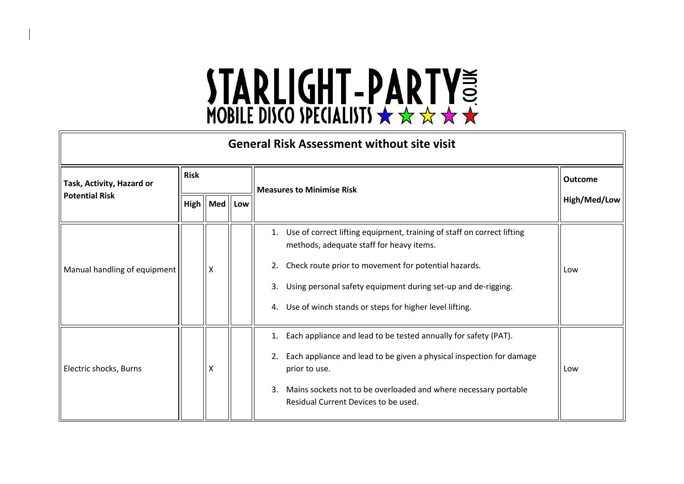| <b>General Risk Assessment without site visit</b>  |             |                                    |  |                                                                                                                                                                                                                                                                                                                         |                |  |
|----------------------------------------------------|-------------|------------------------------------|--|-------------------------------------------------------------------------------------------------------------------------------------------------------------------------------------------------------------------------------------------------------------------------------------------------------------------------|----------------|--|
| Task, Activity, Hazard or<br><b>Potential Risk</b> | <b>Risk</b> |                                    |  | <b>Measures to Minimise Risk</b>                                                                                                                                                                                                                                                                                        | <b>Outcome</b> |  |
|                                                    |             | $High \parallel Med \parallel Low$ |  |                                                                                                                                                                                                                                                                                                                         | High/Med/Low   |  |
| Manual handling of equipment                       |             | X                                  |  | 1. Use of correct lifting equipment, training of staff on correct lifting<br>methods, adequate staff for heavy items.<br>Check route prior to movement for potential hazards.<br>2.<br>Using personal safety equipment during set-up and de-rigging.<br>3.<br>4. Use of winch stands or steps for higher level lifting. | Low            |  |
| Electric shocks, Burns                             |             | X                                  |  | 1. Each appliance and lead to be tested annually for safety (PAT).<br>Each appliance and lead to be given a physical inspection for damage<br>2.<br>prior to use.<br>Mains sockets not to be overloaded and where necessary portable<br>3.<br>Residual Current Devices to be used.                                      | Low            |  |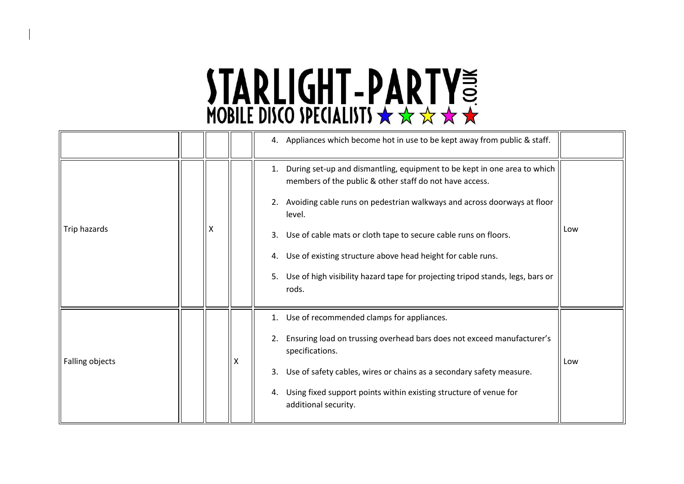|                 |   | 4. Appliances which become hot in use to be kept away from public & staff.                                                                                                                                                                                                                                                                                                                                                                                                 |     |
|-----------------|---|----------------------------------------------------------------------------------------------------------------------------------------------------------------------------------------------------------------------------------------------------------------------------------------------------------------------------------------------------------------------------------------------------------------------------------------------------------------------------|-----|
| Trip hazards    | X | 1. During set-up and dismantling, equipment to be kept in one area to which<br>members of the public & other staff do not have access.<br>2. Avoiding cable runs on pedestrian walkways and across doorways at floor<br>level.<br>Use of cable mats or cloth tape to secure cable runs on floors.<br>3.<br>Use of existing structure above head height for cable runs.<br>4.<br>5. Use of high visibility hazard tape for projecting tripod stands, legs, bars or<br>rods. | Low |
| Falling objects |   | 1. Use of recommended clamps for appliances.<br>Ensuring load on trussing overhead bars does not exceed manufacturer's<br>2.<br>specifications.<br>Use of safety cables, wires or chains as a secondary safety measure.<br>3.<br>Using fixed support points within existing structure of venue for<br>4.<br>additional security.                                                                                                                                           | Low |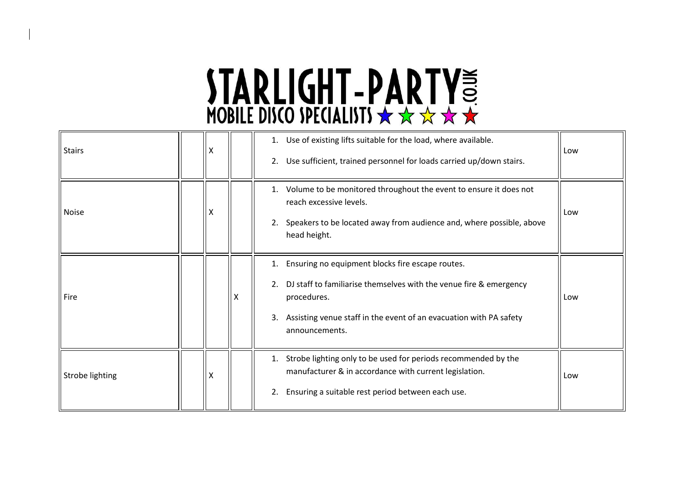| <b>Stairs</b>   | X |   | 1. Use of existing lifts suitable for the load, where available.<br>Use sufficient, trained personnel for loads carried up/down stairs.<br>2.                                                                                                   | Low |
|-----------------|---|---|-------------------------------------------------------------------------------------------------------------------------------------------------------------------------------------------------------------------------------------------------|-----|
| <b>Noise</b>    | X |   | 1. Volume to be monitored throughout the event to ensure it does not<br>reach excessive levels.<br>Speakers to be located away from audience and, where possible, above<br>2.<br>head height.                                                   | Low |
| Fire            |   | x | Ensuring no equipment blocks fire escape routes.<br>1.<br>DJ staff to familiarise themselves with the venue fire & emergency<br>2.<br>procedures.<br>Assisting venue staff in the event of an evacuation with PA safety<br>3.<br>announcements. | Low |
| Strobe lighting | X |   | Strobe lighting only to be used for periods recommended by the<br>1.<br>manufacturer & in accordance with current legislation.<br>Ensuring a suitable rest period between each use.<br>2.                                                       | Low |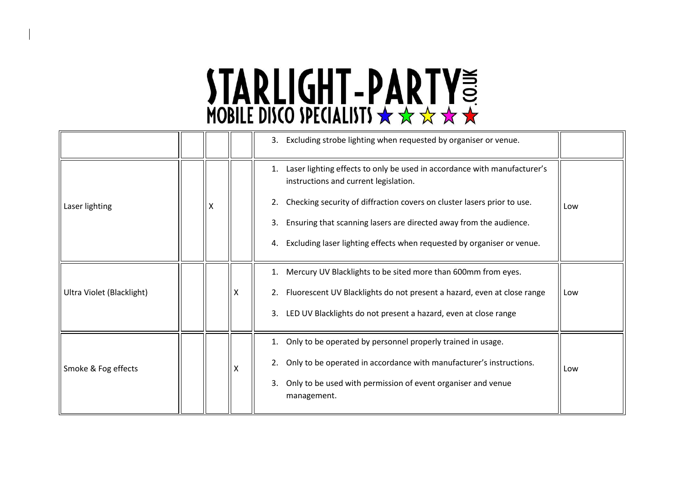|   |  | 3. Excluding strobe lighting when requested by organiser or venue.                                                      |     |  |  |  |  |  |  |  |  |                                                                                   |  |
|---|--|-------------------------------------------------------------------------------------------------------------------------|-----|--|--|--|--|--|--|--|--|-----------------------------------------------------------------------------------|--|
|   |  | Laser lighting effects to only be used in accordance with manufacturer's<br>1.<br>instructions and current legislation. |     |  |  |  |  |  |  |  |  |                                                                                   |  |
| X |  | Checking security of diffraction covers on cluster lasers prior to use.<br>2.                                           | Low |  |  |  |  |  |  |  |  |                                                                                   |  |
|   |  | Ensuring that scanning lasers are directed away from the audience.<br>3.                                                |     |  |  |  |  |  |  |  |  |                                                                                   |  |
|   |  | Excluding laser lighting effects when requested by organiser or venue.<br>4.                                            |     |  |  |  |  |  |  |  |  |                                                                                   |  |
|   |  | 1. Mercury UV Blacklights to be sited more than 600mm from eyes.                                                        |     |  |  |  |  |  |  |  |  |                                                                                   |  |
|   |  | 2. Fluorescent UV Blacklights do not present a hazard, even at close range                                              | Low |  |  |  |  |  |  |  |  |                                                                                   |  |
|   |  | 3. LED UV Blacklights do not present a hazard, even at close range                                                      |     |  |  |  |  |  |  |  |  |                                                                                   |  |
|   |  | 1. Only to be operated by personnel properly trained in usage.                                                          |     |  |  |  |  |  |  |  |  |                                                                                   |  |
|   |  | Only to be operated in accordance with manufacturer's instructions.<br>2.                                               | Low |  |  |  |  |  |  |  |  |                                                                                   |  |
|   |  |                                                                                                                         |     |  |  |  |  |  |  |  |  | Only to be used with permission of event organiser and venue<br>3.<br>management. |  |
|   |  |                                                                                                                         |     |  |  |  |  |  |  |  |  |                                                                                   |  |